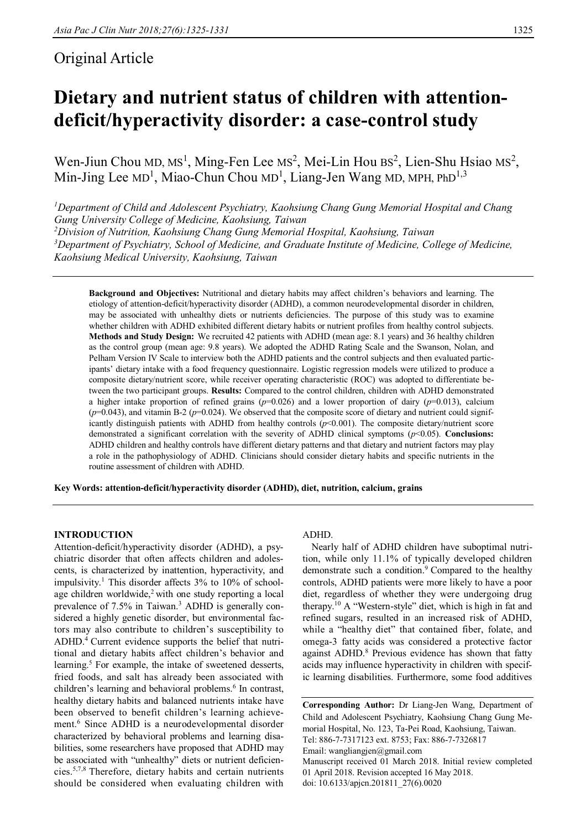# Original Article

# **Dietary and nutrient status of children with attentiondeficit/hyperactivity disorder: a case-control study**

Wen-Jiun Chou MD,  $MS<sup>1</sup>$ , Ming-Fen Lee MS<sup>2</sup>, Mei-Lin Hou BS<sup>2</sup>, Lien-Shu Hsiao MS<sup>2</sup>, Min-Jing Lee  $MD<sup>1</sup>$ , Miao-Chun Chou MD<sup>1</sup>, Liang-Jen Wang MD, MPH, PhD<sup>1,3</sup>

*<sup>1</sup>Department of Child and Adolescent Psychiatry, Kaohsiung Chang Gung Memorial Hospital and Chang Gung University College of Medicine, Kaohsiung, Taiwan*

*<sup>2</sup>Division of Nutrition, Kaohsiung Chang Gung Memorial Hospital, Kaohsiung, Taiwan <sup>3</sup>Department of Psychiatry, School of Medicine, and Graduate Institute of Medicine, College of Medicine, Kaohsiung Medical University, Kaohsiung, Taiwan*

**Background and Objectives:** Nutritional and dietary habits may affect children's behaviors and learning. The etiology of attention-deficit/hyperactivity disorder (ADHD), a common neurodevelopmental disorder in children, may be associated with unhealthy diets or nutrients deficiencies. The purpose of this study was to examine whether children with ADHD exhibited different dietary habits or nutrient profiles from healthy control subjects. **Methods and Study Design:** We recruited 42 patients with ADHD (mean age: 8.1 years) and 36 healthy children as the control group (mean age: 9.8 years). We adopted the ADHD Rating Scale and the Swanson, Nolan, and Pelham Version IV Scale to interview both the ADHD patients and the control subjects and then evaluated participants' dietary intake with a food frequency questionnaire. Logistic regression models were utilized to produce a composite dietary/nutrient score, while receiver operating characteristic (ROC) was adopted to differentiate between the two participant groups. **Results:** Compared to the control children, children with ADHD demonstrated a higher intake proportion of refined grains  $(p=0.026)$  and a lower proportion of dairy  $(p=0.013)$ , calcium  $(p=0.043)$ , and vitamin B-2  $(p=0.024)$ . We observed that the composite score of dietary and nutrient could significantly distinguish patients with ADHD from healthy controls (*p*<0.001). The composite dietary/nutrient score demonstrated a significant correlation with the severity of ADHD clinical symptoms (*p*<0.05). **Conclusions:**  ADHD children and healthy controls have different dietary patterns and that dietary and nutrient factors may play a role in the pathophysiology of ADHD. Clinicians should consider dietary habits and specific nutrients in the routine assessment of children with ADHD.

**Key Words: attention-deficit/hyperactivity disorder (ADHD), diet, nutrition, calcium, grains**

# **INTRODUCTION**

Attention-deficit/hyperactivity disorder (ADHD), a psychiatric disorder that often affects children and adolescents, is characterized by inattention, hyperactivity, and impulsivity.<sup>1</sup> This disorder affects  $3\%$  to  $10\%$  of schoolage children worldwide, $\frac{2}{3}$  with one study reporting a local prevalence of 7.5% in Taiwan.<sup>3</sup> ADHD is generally considered a highly genetic disorder, but environmental factors may also contribute to children's susceptibility to ADHD.<sup>4</sup> Current evidence supports the belief that nutritional and dietary habits affect children's behavior and learning.<sup>5</sup> For example, the intake of sweetened desserts, fried foods, and salt has already been associated with children's learning and behavioral problems.<sup>6</sup> In contrast, healthy dietary habits and balanced nutrients intake have been observed to benefit children's learning achievement.<sup>6</sup> Since ADHD is a neurodevelopmental disorder characterized by behavioral problems and learning disabilities, some researchers have proposed that ADHD may be associated with "unhealthy" diets or nutrient deficiencies.5,7,8 Therefore, dietary habits and certain nutrients should be considered when evaluating children with

#### ADHD.

Nearly half of ADHD children have suboptimal nutrition, while only 11.1% of typically developed children demonstrate such a condition.<sup>9</sup> Compared to the healthy controls, ADHD patients were more likely to have a poor diet, regardless of whether they were undergoing drug therapy.<sup>10</sup> A "Western-style" diet, which is high in fat and refined sugars, resulted in an increased risk of ADHD, while a "healthy diet" that contained fiber, folate, and omega-3 fatty acids was considered a protective factor against ADHD.<sup>8</sup> Previous evidence has shown that fatty acids may influence hyperactivity in children with specific learning disabilities. Furthermore, some food additives

**Corresponding Author:** Dr Liang-Jen Wang, Department of Child and Adolescent Psychiatry, Kaohsiung Chang Gung Memorial Hospital, No. 123, Ta-Pei Road, Kaohsiung, Taiwan. Tel: 886-7-7317123 ext. 8753; Fax: 886-7-7326817 Email: wangliangjen@gmail.com Manuscript received 01 March 2018. Initial review completed 01 April 2018. Revision accepted 16 May 2018. doi: 10.6133/apjcn.201811\_27(6).0020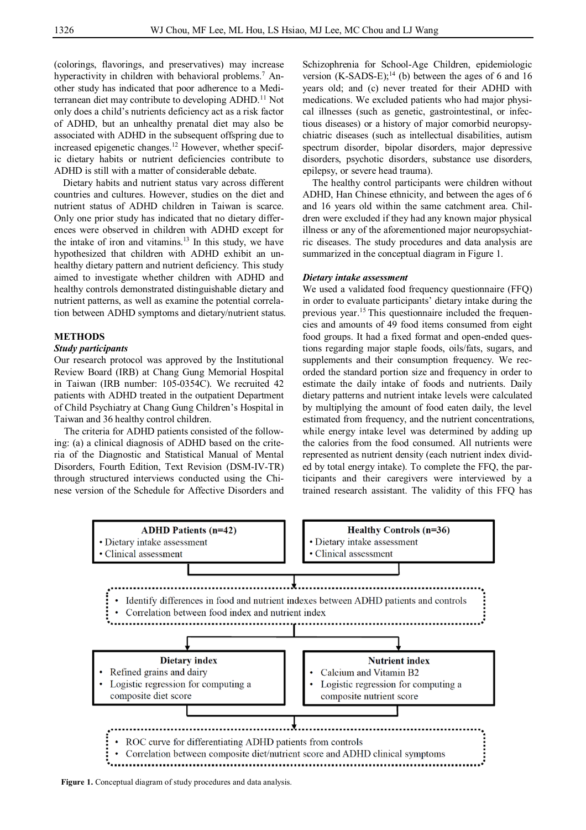(colorings, flavorings, and preservatives) may increase hyperactivity in children with behavioral problems.<sup>7</sup> Another study has indicated that poor adherence to a Mediterranean diet may contribute to developing ADHD.<sup>11</sup> Not only does a child's nutrients deficiency act as a risk factor of ADHD, but an unhealthy prenatal diet may also be associated with ADHD in the subsequent offspring due to increased epigenetic changes.<sup>12</sup> However, whether specific dietary habits or nutrient deficiencies contribute to ADHD is still with a matter of considerable debate.

Dietary habits and nutrient status vary across different countries and cultures. However, studies on the diet and nutrient status of ADHD children in Taiwan is scarce. Only one prior study has indicated that no dietary differences were observed in children with ADHD except for the intake of iron and vitamins.<sup>13</sup> In this study, we have hypothesized that children with ADHD exhibit an unhealthy dietary pattern and nutrient deficiency. This study aimed to investigate whether children with ADHD and healthy controls demonstrated distinguishable dietary and nutrient patterns, as well as examine the potential correlation between ADHD symptoms and dietary/nutrient status.

## **METHODS**

### *Study participants*

Our research protocol was approved by the Institutional Review Board (IRB) at Chang Gung Memorial Hospital in Taiwan (IRB number: 105-0354C). We recruited 42 patients with ADHD treated in the outpatient Department of Child Psychiatry at Chang Gung Children's Hospital in Taiwan and 36 healthy control children.

The criteria for ADHD patients consisted of the following: (a) a clinical diagnosis of ADHD based on the criteria of the Diagnostic and Statistical Manual of Mental Disorders, Fourth Edition, Text Revision (DSM-IV-TR) through structured interviews conducted using the Chinese version of the Schedule for Affective Disorders and Schizophrenia for School-Age Children, epidemiologic version  $(K-SADS-E);$ <sup>14</sup> (b) between the ages of 6 and 16 years old; and (c) never treated for their ADHD with medications. We excluded patients who had major physical illnesses (such as genetic, gastrointestinal, or infectious diseases) or a history of major comorbid neuropsychiatric diseases (such as intellectual disabilities, autism spectrum disorder, bipolar disorders, major depressive disorders, psychotic disorders, substance use disorders, epilepsy, or severe head trauma).

The healthy control participants were children without ADHD, Han Chinese ethnicity, and between the ages of 6 and 16 years old within the same catchment area. Children were excluded if they had any known major physical illness or any of the aforementioned major neuropsychiatric diseases. The study procedures and data analysis are summarized in the conceptual diagram in Figure 1.

#### *Dietary intake assessment*

We used a validated food frequency questionnaire (FFQ) in order to evaluate participants' dietary intake during the previous year.15 This questionnaire included the frequencies and amounts of 49 food items consumed from eight food groups. It had a fixed format and open-ended questions regarding major staple foods, oils/fats, sugars, and supplements and their consumption frequency. We recorded the standard portion size and frequency in order to estimate the daily intake of foods and nutrients. Daily dietary patterns and nutrient intake levels were calculated by multiplying the amount of food eaten daily, the level estimated from frequency, and the nutrient concentrations, while energy intake level was determined by adding up the calories from the food consumed. All nutrients were represented as nutrient density (each nutrient index divided by total energy intake). To complete the FFQ, the participants and their caregivers were interviewed by a trained research assistant. The validity of this FFQ has



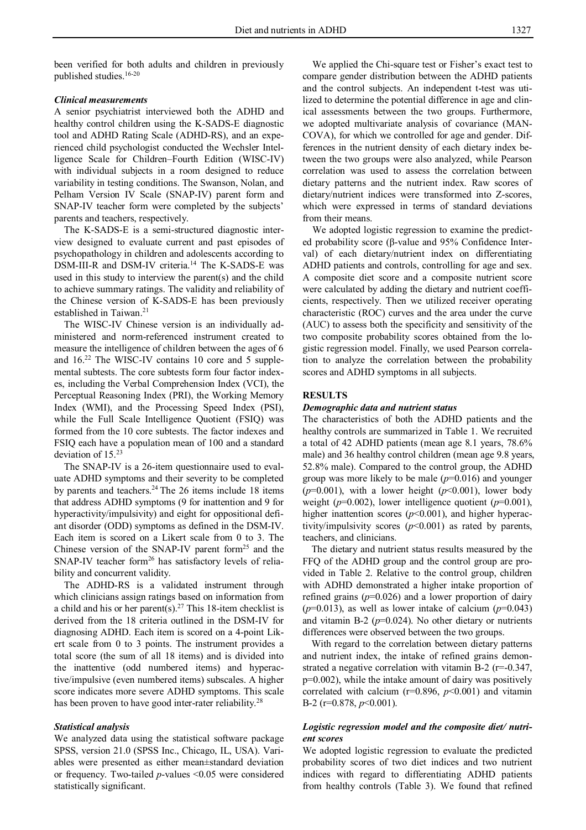been verified for both adults and children in previously published studies.16-20

#### *Clinical measurements*

A senior psychiatrist interviewed both the ADHD and healthy control children using the K-SADS-E diagnostic tool and ADHD Rating Scale (ADHD-RS), and an experienced child psychologist conducted the Wechsler Intelligence Scale for Children–Fourth Edition (WISC-IV) with individual subjects in a room designed to reduce variability in testing conditions. The Swanson, Nolan, and Pelham Version IV Scale (SNAP-IV) parent form and SNAP-IV teacher form were completed by the subjects' parents and teachers, respectively.

The K-SADS-E is a semi-structured diagnostic interview designed to evaluate current and past episodes of psychopathology in children and adolescents according to DSM-III-R and DSM-IV criteria.<sup>14</sup> The K-SADS-E was used in this study to interview the parent(s) and the child to achieve summary ratings. The validity and reliability of the Chinese version of K-SADS-E has been previously established in Taiwan.<sup>21</sup>

The WISC-IV Chinese version is an individually administered and norm-referenced instrument created to measure the intelligence of children between the ages of 6 and  $16<sup>22</sup>$  The WISC-IV contains 10 core and 5 supplemental subtests. The core subtests form four factor indexes, including the Verbal Comprehension Index (VCI), the Perceptual Reasoning Index (PRI), the Working Memory Index (WMI), and the Processing Speed Index (PSI), while the Full Scale Intelligence Quotient (FSIQ) was formed from the 10 core subtests. The factor indexes and FSIQ each have a population mean of 100 and a standard deviation of 15.<sup>23</sup>

The SNAP-IV is a 26-item questionnaire used to evaluate ADHD symptoms and their severity to be completed by parents and teachers.<sup>24</sup> The 26 items include 18 items that address ADHD symptoms (9 for inattention and 9 for hyperactivity/impulsivity) and eight for oppositional defiant disorder (ODD) symptoms as defined in the DSM-IV. Each item is scored on a Likert scale from 0 to 3. The Chinese version of the SNAP-IV parent form $^{25}$  and the SNAP-IV teacher form<sup>26</sup> has satisfactory levels of reliability and concurrent validity.

The ADHD-RS is a validated instrument through which clinicians assign ratings based on information from a child and his or her parent(s).<sup>27</sup> This 18-item checklist is derived from the 18 criteria outlined in the DSM-IV for diagnosing ADHD. Each item is scored on a 4-point Likert scale from 0 to 3 points. The instrument provides a total score (the sum of all 18 items) and is divided into the inattentive (odd numbered items) and hyperactive/impulsive (even numbered items) subscales. A higher score indicates more severe ADHD symptoms. This scale has been proven to have good inter-rater reliability.<sup>28</sup>

#### *Statistical analysis*

We analyzed data using the statistical software package SPSS, version 21.0 (SPSS Inc., Chicago, IL, USA). Variables were presented as either mean±standard deviation or frequency. Two-tailed *p*-values <0.05 were considered statistically significant.

We applied the Chi-square test or Fisher's exact test to compare gender distribution between the ADHD patients and the control subjects. An independent t-test was utilized to determine the potential difference in age and clinical assessments between the two groups. Furthermore, we adopted multivariate analysis of covariance (MAN-COVA), for which we controlled for age and gender. Differences in the nutrient density of each dietary index between the two groups were also analyzed, while Pearson correlation was used to assess the correlation between dietary patterns and the nutrient index. Raw scores of dietary/nutrient indices were transformed into Z-scores, which were expressed in terms of standard deviations from their means.

We adopted logistic regression to examine the predicted probability score (β-value and 95% Confidence Interval) of each dietary/nutrient index on differentiating ADHD patients and controls, controlling for age and sex. A composite diet score and a composite nutrient score were calculated by adding the dietary and nutrient coefficients, respectively. Then we utilized receiver operating characteristic (ROC) curves and the area under the curve (AUC) to assess both the specificity and sensitivity of the two composite probability scores obtained from the logistic regression model. Finally, we used Pearson correlation to analyze the correlation between the probability scores and ADHD symptoms in all subjects.

#### **RESULTS**

#### *Demographic data and nutrient status*

The characteristics of both the ADHD patients and the healthy controls are summarized in Table 1. We recruited a total of 42 ADHD patients (mean age 8.1 years, 78.6% male) and 36 healthy control children (mean age 9.8 years, 52.8% male). Compared to the control group, the ADHD group was more likely to be male (*p*=0.016) and younger ( $p=0.001$ ), with a lower height ( $p<0.001$ ), lower body weight (*p*=0.002), lower intelligence quotient (*p*=0.001), higher inattention scores ( $p$ <0.001), and higher hyperactivity/impulsivity scores (*p*<0.001) as rated by parents, teachers, and clinicians.

The dietary and nutrient status results measured by the FFQ of the ADHD group and the control group are provided in Table 2. Relative to the control group, children with ADHD demonstrated a higher intake proportion of refined grains  $(p=0.026)$  and a lower proportion of dairy  $(p=0.013)$ , as well as lower intake of calcium  $(p=0.043)$ and vitamin B-2  $(p=0.024)$ . No other dietary or nutrients differences were observed between the two groups.

With regard to the correlation between dietary patterns and nutrient index, the intake of refined grains demonstrated a negative correlation with vitamin B-2 (r=-0.347, p=0.002), while the intake amount of dairy was positively correlated with calcium (r=0.896, *p*<0.001) and vitamin B-2 (r=0.878, *p*<0.001).

# *Logistic regression model and the composite diet/ nutrient scores*

We adopted logistic regression to evaluate the predicted probability scores of two diet indices and two nutrient indices with regard to differentiating ADHD patients from healthy controls (Table 3). We found that refined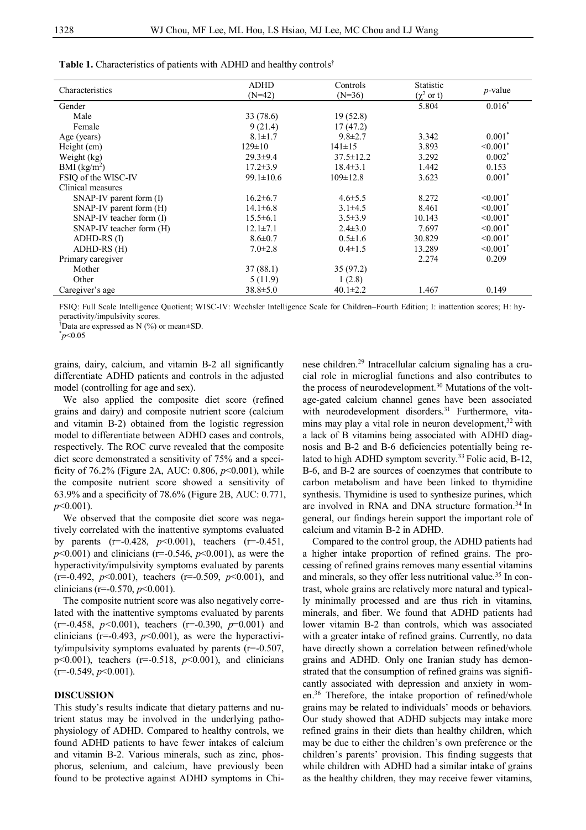| Characteristics              | ADHD            | Controls        | Statistic       | $p$ -value                |
|------------------------------|-----------------|-----------------|-----------------|---------------------------|
|                              | $(N=42)$        | $(N=36)$        | $(\chi^2$ or t) |                           |
| Gender                       |                 |                 | 5.804           | $0.016*$                  |
| Male                         | 33 (78.6)       | 19(52.8)        |                 |                           |
| Female                       | 9(21.4)         | 17(47.2)        |                 |                           |
| Age (years)                  | $8.1 \pm 1.7$   | $9.8 \pm 2.7$   | 3.342           | $0.001*$                  |
| Height (cm)                  | $129 \pm 10$    | $141 \pm 15$    | 3.893           | $\leq 0.001$ <sup>*</sup> |
| Weight (kg)                  | $29.3 \pm 9.4$  | $37.5 \pm 12.2$ | 3.292           | $0.002*$                  |
| BMI $(kg/m2)$                | $17.2 \pm 3.9$  | $18.4 \pm 3.1$  | 1.442           | 0.153                     |
| FSIO of the WISC-IV          | $99.1 \pm 10.6$ | $109 \pm 12.8$  | 3.623           | $0.001*$                  |
| Clinical measures            |                 |                 |                 |                           |
| $SNAP-IV$ parent form $(I)$  | $16.2 \pm 6.7$  | $4.6 \pm 5.5$   | 8.272           | $< 0.001$ <sup>*</sup>    |
| $SNAP-IV$ parent form $(H)$  | $14.1 \pm 6.8$  | $3.1 \pm 4.5$   | 8.461           | $\leq 0.001$ <sup>*</sup> |
| $SNAP-IV$ teacher form $(I)$ | $15.5 \pm 6.1$  | $3.5 \pm 3.9$   | 10.143          | $\leq 0.001$ <sup>*</sup> |
| SNAP-IV teacher form (H)     | $12.1 \pm 7.1$  | $2.4 \pm 3.0$   | 7.697           | $\leq 0.001$ <sup>*</sup> |
| ADHD-RS (I)                  | $8.6 \pm 0.7$   | $0.5 \pm 1.6$   | 30.829          | $< 0.001$ <sup>*</sup>    |
| ADHD-RS (H)                  | $7.0 \pm 2.8$   | $0.4 \pm 1.5$   | 13.289          | $\leq 0.001$ <sup>*</sup> |
| Primary caregiver            |                 |                 | 2.274           | 0.209                     |
| Mother                       | 37(88.1)        | 35 (97.2)       |                 |                           |
| Other                        | 5(11.9)         | 1(2.8)          |                 |                           |
| Caregiver's age              | $38.8 \pm 5.0$  | $40.1 \pm 2.2$  | 1.467           | 0.149                     |

Table 1. Characteristics of patients with ADHD and healthy controls<sup>†</sup>

FSIQ: Full Scale Intelligence Quotient; WISC-IV: Wechsler Intelligence Scale for Children–Fourth Edition; I: inattention scores; H: hyperactivity/impulsivity scores.

†Data are expressed as N (%) or mean±SD.

\**p*<0.05

grains, dairy, calcium, and vitamin B-2 all significantly differentiate ADHD patients and controls in the adjusted model (controlling for age and sex).

We also applied the composite diet score (refined grains and dairy) and composite nutrient score (calcium and vitamin B-2) obtained from the logistic regression model to differentiate between ADHD cases and controls, respectively. The ROC curve revealed that the composite diet score demonstrated a sensitivity of 75% and a specificity of 76.2% (Figure 2A, AUC: 0.806, *p*<0.001), while the composite nutrient score showed a sensitivity of 63.9% and a specificity of 78.6% (Figure 2B, AUC: 0.771, *p*<0.001).

We observed that the composite diet score was negatively correlated with the inattentive symptoms evaluated by parents (r=-0.428, *p*<0.001), teachers (r=-0.451,  $p$ <0.001) and clinicians (r=-0.546,  $p$ <0.001), as were the hyperactivity/impulsivity symptoms evaluated by parents (r=-0.492, *p*<0.001), teachers (r=-0.509, *p*<0.001), and clinicians (r=-0.570, *p*<0.001).

The composite nutrient score was also negatively correlated with the inattentive symptoms evaluated by parents (r=-0.458, *p<*0.001), teachers (r=-0.390, *p*=0.001) and clinicians ( $r=0.493$ ,  $p<0.001$ ), as were the hyperactivity/impulsivity symptoms evaluated by parents (r=-0.507, p<0.001), teachers (r=-0.518, *p*<0.001), and clinicians (r=-0.549, *p*<0.001).

# **DISCUSSION**

This study's results indicate that dietary patterns and nutrient status may be involved in the underlying pathophysiology of ADHD. Compared to healthy controls, we found ADHD patients to have fewer intakes of calcium and vitamin B-2. Various minerals, such as zinc, phosphorus, selenium, and calcium, have previously been found to be protective against ADHD symptoms in Chinese children.<sup>29</sup> Intracellular calcium signaling has a crucial role in microglial functions and also contributes to the process of neurodevelopment.<sup>30</sup> Mutations of the voltage-gated calcium channel genes have been associated with neurodevelopment disorders.<sup>31</sup> Furthermore, vitamins may play a vital role in neuron development,<sup>32</sup> with a lack of B vitamins being associated with ADHD diagnosis and B-2 and B-6 deficiencies potentially being related to high ADHD symptom severity.<sup>33</sup> Folic acid, B-12, B-6, and B-2 are sources of coenzymes that contribute to carbon metabolism and have been linked to thymidine synthesis. Thymidine is used to synthesize purines, which are involved in RNA and DNA structure formation.<sup>34</sup> In general, our findings herein support the important role of calcium and vitamin B-2 in ADHD.

Compared to the control group, the ADHD patients had a higher intake proportion of refined grains. The processing of refined grains removes many essential vitamins and minerals, so they offer less nutritional value.<sup>35</sup> In contrast, whole grains are relatively more natural and typically minimally processed and are thus rich in vitamins, minerals, and fiber. We found that ADHD patients had lower vitamin B-2 than controls, which was associated with a greater intake of refined grains. Currently, no data have directly shown a correlation between refined/whole grains and ADHD. Only one Iranian study has demonstrated that the consumption of refined grains was significantly associated with depression and anxiety in women.<sup>36</sup> Therefore, the intake proportion of refined/whole grains may be related to individuals' moods or behaviors. Our study showed that ADHD subjects may intake more refined grains in their diets than healthy children, which may be due to either the children's own preference or the children's parents' provision. This finding suggests that while children with ADHD had a similar intake of grains as the healthy children, they may receive fewer vitamins,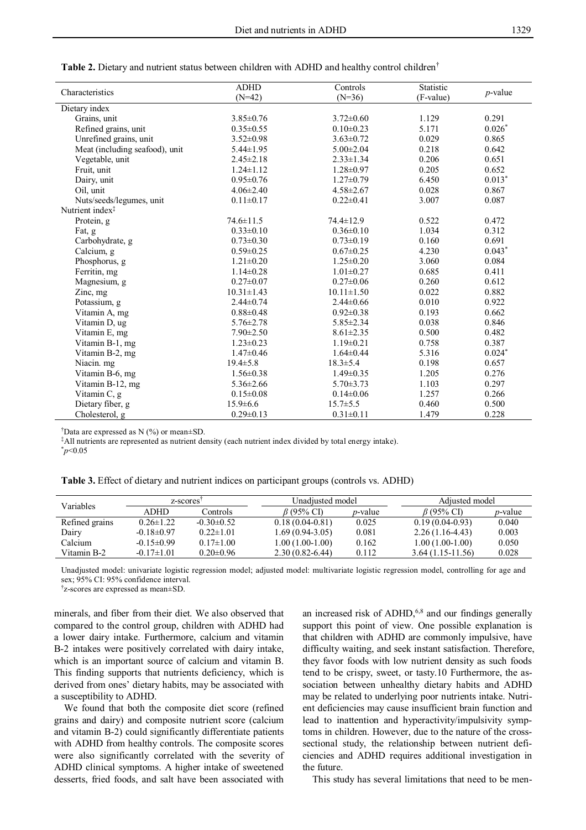| Characteristics                | <b>ADHD</b><br>$(N=42)$ | Controls<br>$(N=36)$ | Statistic<br>(F-value) | $p$ -value |
|--------------------------------|-------------------------|----------------------|------------------------|------------|
| Dietary index                  |                         |                      |                        |            |
| Grains, unit                   | $3.85 \pm 0.76$         | $3.72 \pm 0.60$      | 1.129                  | 0.291      |
| Refined grains, unit           | $0.35 \pm 0.55$         | $0.10 \pm 0.23$      | 5.171                  | $0.026*$   |
| Unrefined grains, unit         | $3.52 \pm 0.98$         | $3.63 \pm 0.72$      | 0.029                  | 0.865      |
| Meat (including seafood), unit | $5.44 \pm 1.95$         | $5.00 \pm 2.04$      | 0.218                  | 0.642      |
| Vegetable, unit                | $2.45 \pm 2.18$         | $2.33 \pm 1.34$      | 0.206                  | 0.651      |
| Fruit, unit                    | $1.24 \pm 1.12$         | $1.28 \pm 0.97$      | 0.205                  | 0.652      |
| Dairy, unit                    | $0.95 \pm 0.76$         | $1.27 \pm 0.79$      | 6.450                  | $0.013*$   |
| Oil, unit                      | $4.06 \pm 2.40$         | $4.58 \pm 2.67$      | 0.028                  | 0.867      |
| Nuts/seeds/legumes, unit       | $0.11 \pm 0.17$         | $0.22 \pm 0.41$      | 3.007                  | 0.087      |
| Nutrient index <sup>‡</sup>    |                         |                      |                        |            |
| Protein, g                     | $74.6 \pm 11.5$         | $74.4 \pm 12.9$      | 0.522                  | 0.472      |
| Fat, g                         | $0.33 \pm 0.10$         | $0.36 \pm 0.10$      | 1.034                  | 0.312      |
| Carbohydrate, g                | $0.73 \pm 0.30$         | $0.73 \pm 0.19$      | 0.160                  | 0.691      |
| Calcium, g                     | $0.59 \pm 0.25$         | $0.67 \pm 0.25$      | 4.230                  | $0.043*$   |
| Phosphorus, g                  | $1.21 \pm 0.20$         | $1.25 \pm 0.20$      | 3.060                  | 0.084      |
| Ferritin, mg                   | $1.14 \pm 0.28$         | $1.01 \pm 0.27$      | 0.685                  | 0.411      |
| Magnesium, g                   | $0.27 \pm 0.07$         | $0.27 \pm 0.06$      | 0.260                  | 0.612      |
| Zinc, mg                       | $10.31 \pm 1.43$        | $10.11 \pm 1.50$     | 0.022                  | 0.882      |
| Potassium, g                   | $2.44 \pm 0.74$         | $2.44 \pm 0.66$      | 0.010                  | 0.922      |
| Vitamin A, mg                  | $0.88 \pm 0.48$         | $0.92 \pm 0.38$      | 0.193                  | 0.662      |
| Vitamin D, ug                  | $5.76 \pm 2.78$         | $5.85 \pm 2.34$      | 0.038                  | 0.846      |
| Vitamin E, mg                  | $7.90 \pm 2.50$         | $8.61 \pm 2.35$      | 0.500                  | 0.482      |
| Vitamin B-1, mg                | $1.23 \pm 0.23$         | $1.19 \pm 0.21$      | 0.758                  | 0.387      |
| Vitamin B-2, mg                | $1.47 \pm 0.46$         | $1.64 \pm 0.44$      | 5.316                  | $0.024*$   |
| Niacin. mg                     | $19.4 \pm 5.8$          | $18.3 \pm 5.4$       | 0.198                  | 0.657      |
| Vitamin B-6, mg                | $1.56 \pm 0.38$         | $1.49 \pm 0.35$      | 1.205                  | 0.276      |
| Vitamin B-12, mg               | $5.36 \pm 2.66$         | $5.70 \pm 3.73$      | 1.103                  | 0.297      |
| Vitamin C, g                   | $0.15 \pm 0.08$         | $0.14 \pm 0.06$      | 1.257                  | 0.266      |
| Dietary fiber, g               | $15.9 \pm 6.6$          | $15.7 \pm 5.5$       | 0.460                  | 0.500      |
| Cholesterol, g                 | $0.29 \pm 0.13$         | $0.31 \pm 0.11$      | 1.479                  | 0.228      |

**Table 2.** Dietary and nutrient status between children with ADHD and healthy control children†

<sup>†</sup>Data are expressed as N  $(\%)$  or mean $\pm$ SD.

‡All nutrients are represented as nutrient density (each nutrient index divided by total energy intake).

| 70. | ı |
|-----|---|

| <b>Table 3.</b> Effect of dietary and nutrient indices on participant groups (controls vs. ADHD) |  |  |  |
|--------------------------------------------------------------------------------------------------|--|--|--|
|--------------------------------------------------------------------------------------------------|--|--|--|

| <b>Variables</b> | z-scores <sup>1</sup> |                 | Unadiusted model    |                 | Adjusted model     |                 |
|------------------|-----------------------|-----------------|---------------------|-----------------|--------------------|-----------------|
|                  | ADHD                  | Controls        | <i>B</i> (95% CI)   | <i>n</i> -value | $\beta$ (95% CD)   | <i>p</i> -value |
| Refined grains   | $0.26 \pm 1.22$       | $-0.30\pm0.52$  | $0.18(0.04 - 0.81)$ | 0.025           | $0.19(0.04-0.93)$  | 0.040           |
| Dairy            | $-0.18 \pm 0.97$      | $0.22 \pm 1.01$ | 1.69 (0.94-3.05)    | 0.081           | $2.26(1.16-4.43)$  | 0.003           |
| Calcium          | $-0.15 \pm 0.99$      | $0.17 \pm 1.00$ | 1.00 (1.00-1.00)    | 0.162           | $1.00(1.00-1.00)$  | 0.050           |
| Vitamin B-2      | $-0.17 \pm 1.01$      | $0.20 \pm 0.96$ | $2.30(0.82 - 6.44)$ | 0.112           | $3.64(1.15-11.56)$ | 0.028           |
|                  |                       |                 |                     |                 |                    |                 |

Unadjusted model: univariate logistic regression model; adjusted model: multivariate logistic regression model, controlling for age and sex; 95% CI: 95% confidence interval.

† z-scores are expressed as mean±SD.

minerals, and fiber from their diet. We also observed that compared to the control group, children with ADHD had a lower dairy intake. Furthermore, calcium and vitamin B-2 intakes were positively correlated with dairy intake, which is an important source of calcium and vitamin B. This finding supports that nutrients deficiency, which is derived from ones' dietary habits, may be associated with a susceptibility to ADHD.

We found that both the composite diet score (refined grains and dairy) and composite nutrient score (calcium and vitamin B-2) could significantly differentiate patients with ADHD from healthy controls. The composite scores were also significantly correlated with the severity of ADHD clinical symptoms. A higher intake of sweetened desserts, fried foods, and salt have been associated with

an increased risk of ADHD,<sup>6,8</sup> and our findings generally support this point of view. One possible explanation is that children with ADHD are commonly impulsive, have difficulty waiting, and seek instant satisfaction. Therefore, they favor foods with low nutrient density as such foods tend to be crispy, sweet, or tasty.10 Furthermore, the association between unhealthy dietary habits and ADHD may be related to underlying poor nutrients intake. Nutrient deficiencies may cause insufficient brain function and lead to inattention and hyperactivity/impulsivity symptoms in children. However, due to the nature of the crosssectional study, the relationship between nutrient deficiencies and ADHD requires additional investigation in the future.

This study has several limitations that need to be men-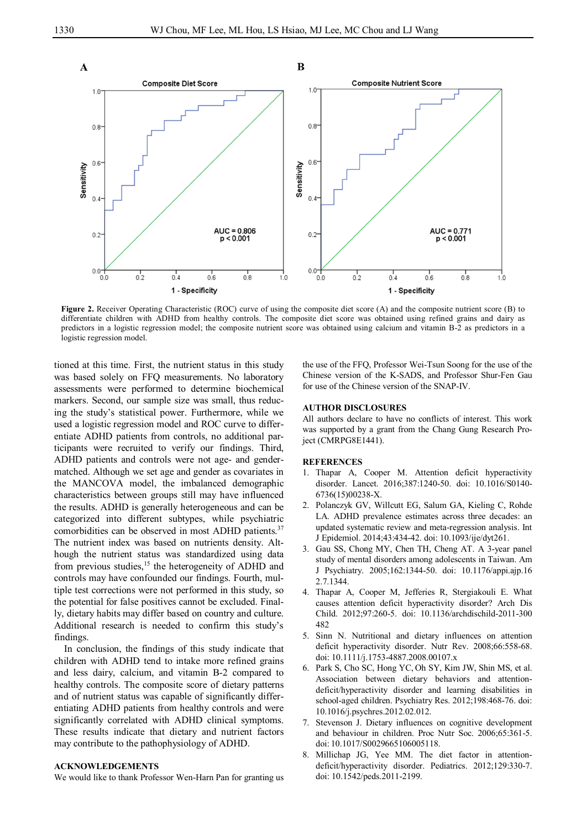

**Figure 2.** Receiver Operating Characteristic (ROC) curve of using the composite diet score (A) and the composite nutrient score (B) to differentiate children with ADHD from healthy controls. The composite diet score was obtained using refined grains and dairy as predictors in a logistic regression model; the composite nutrient score was obtained using calcium and vitamin B-2 as predictors in a logistic regression model.

tioned at this time. First, the nutrient status in this study was based solely on FFQ measurements. No laboratory assessments were performed to determine biochemical markers. Second, our sample size was small, thus reducing the study's statistical power. Furthermore, while we used a logistic regression model and ROC curve to differentiate ADHD patients from controls, no additional participants were recruited to verify our findings. Third, ADHD patients and controls were not age- and gendermatched. Although we set age and gender as covariates in the MANCOVA model, the imbalanced demographic characteristics between groups still may have influenced the results. ADHD is generally heterogeneous and can be categorized into different subtypes, while psychiatric comorbidities can be observed in most ADHD patients.<sup>37</sup> The nutrient index was based on nutrients density. Although the nutrient status was standardized using data from previous studies,<sup>15</sup> the heterogeneity of ADHD and controls may have confounded our findings. Fourth, multiple test corrections were not performed in this study, so the potential for false positives cannot be excluded. Finally, dietary habits may differ based on country and culture. Additional research is needed to confirm this study's findings.

In conclusion, the findings of this study indicate that children with ADHD tend to intake more refined grains and less dairy, calcium, and vitamin B-2 compared to healthy controls. The composite score of dietary patterns and of nutrient status was capable of significantly differentiating ADHD patients from healthy controls and were significantly correlated with ADHD clinical symptoms. These results indicate that dietary and nutrient factors may contribute to the pathophysiology of ADHD.

#### **ACKNOWLEDGEMENTS**

We would like to thank Professor Wen-Harn Pan for granting us

the use of the FFQ, Professor Wei-Tsun Soong for the use of the Chinese version of the K-SADS, and Professor Shur-Fen Gau for use of the Chinese version of the SNAP-IV.

#### **AUTHOR DISCLOSURES**

All authors declare to have no conflicts of interest. This work was supported by a grant from the Chang Gung Research Project (CMRPG8E1441).

#### **REFERENCES**

- 1. Thapar A, Cooper M. Attention deficit hyperactivity disorder. Lancet. 2016;387:1240-50. doi: 10.1016/S0140- 6736(15)00238-X.
- 2. Polanczyk GV, Willcutt EG, Salum GA, Kieling C, Rohde LA. ADHD prevalence estimates across three decades: an updated systematic review and meta-regression analysis. Int J Epidemiol. 2014;43:434-42. doi: 10.1093/ije/dyt261.
- 3. Gau SS, Chong MY, Chen TH, Cheng AT. A 3-year panel study of mental disorders among adolescents in Taiwan. Am J Psychiatry. 2005;162:1344-50. doi: 10.1176/appi.ajp.16 2.7.1344.
- 4. Thapar A, Cooper M, Jefferies R, Stergiakouli E. What causes attention deficit hyperactivity disorder? Arch Dis Child. 2012;97:260-5. doi: 10.1136/archdischild-2011-300 482
- 5. Sinn N. Nutritional and dietary influences on attention deficit hyperactivity disorder. Nutr Rev. 2008;66:558-68. doi: 10.1111/j.1753-4887.2008.00107.x
- 6. Park S, Cho SC, Hong YC, Oh SY, Kim JW, Shin MS, et al. Association between dietary behaviors and attentiondeficit/hyperactivity disorder and learning disabilities in school-aged children. Psychiatry Res. 2012;198:468-76. doi: 10.1016/j.psychres.2012.02.012.
- 7. Stevenson J. Dietary influences on cognitive development and behaviour in children. Proc Nutr Soc. 2006;65:361-5. doi: 10.1017/S0029665106005118.
- 8. Millichap JG, Yee MM. The diet factor in attentiondeficit/hyperactivity disorder. Pediatrics. 2012;129:330-7. doi: 10.1542/peds.2011-2199.